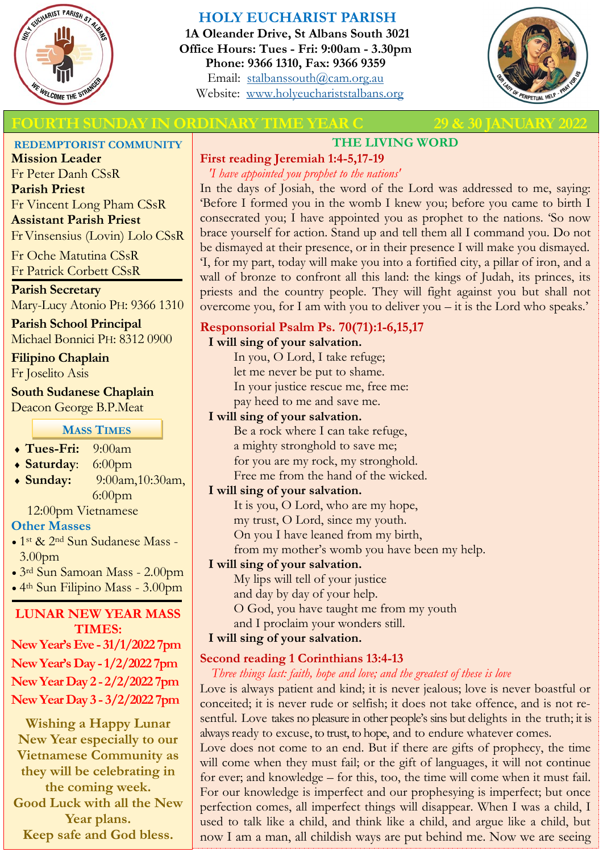

**Mission Leader**

# **HOLY EUCHARIST PARISH**

**1A Oleander Drive, St Albans South 3021 Office Hours: Tues - Fri: 9:00am - 3.30pm Phone: 9366 1310, Fax: 9366 9359** Email: [stalbanssouth@cam.org.au](mailto:stalbanssouth@cam.org.au) Website:[www.holyeuchariststalbans.org](http://www.holyeuchariststalbans.org)



# **FOURTH SUNDAY IN ORDINARY TIME YEAR C**  $29$  **& 30 JANUA**

**REDEMPTORIST COMMUNITY**

# **THE LIVING WORD**

# **First reading Jeremiah 1:4-5,17-19**

*'I have appointed you prophet to the nations'*

Fr Peter Danh CSsR **Parish Priest** Fr Vincent Long Pham CSsR **Assistant Parish Priest**  Fr Vinsensius (Lovin) Lolo CSsR

Fr Oche Matutina CSsR Fr Patrick Corbett CSsR

### **Parish Secretary**

Mary-Lucy Atonio PH: 9366 1310

**Parish School Principal** Michael Bonnici PH: 8312 0900

# **Filipino Chaplain**

Fr Joselito Asis

### **South Sudanese Chaplain**

Deacon George B.P.Meat

### **MASS TIMES**

- **Tues-Fri:** 9:00am
- **Saturday**: 6:00pm
- **Sunday:** 9:00am,10:30am, 6:00pm

12:00pm Vietnamese

# **Other Masses**

- 1st & 2nd Sun Sudanese Mass 3.00pm
- 3rd Sun Samoan Mass 2.00pm
- 4th Sun Filipino Mass 3.00pm

## **LUNAR NEW YEAR MASS TIMES:**

**New Year's Eve - 31/1/2022 7pm New Year's Day -1/2/2022 7pm New Year Day 2 - 2/2/2022 7pm New Year Day 3 - 3/2/2022 7pm**

**Wishing a Happy Lunar New Year especially to our Vietnamese Community as they will be celebrating in the coming week. Good Luck with all the New Year plans. Keep safe and God bless.**

In the days of Josiah, the word of the Lord was addressed to me, saying: 'Before I formed you in the womb I knew you; before you came to birth I consecrated you; I have appointed you as prophet to the nations. 'So now brace yourself for action. Stand up and tell them all I command you. Do not be dismayed at their presence, or in their presence I will make you dismayed. 'I, for my part, today will make you into a fortified city, a pillar of iron, and a wall of bronze to confront all this land: the kings of Judah, its princes, its priests and the country people. They will fight against you but shall not overcome you, for I am with you to deliver you – it is the Lord who speaks.'

# **Responsorial Psalm Ps. 70(71):1-6,15,17**

### **I will sing of your salvation.**

In you, O Lord, I take refuge; let me never be put to shame. In your justice rescue me, free me: pay heed to me and save me.

## **I will sing of your salvation.**

Be a rock where I can take refuge, a mighty stronghold to save me; for you are my rock, my stronghold. Free me from the hand of the wicked.

# **I will sing of your salvation.**

It is you, O Lord, who are my hope, my trust, O Lord, since my youth. On you I have leaned from my birth, from my mother's womb you have been my help.

### **I will sing of your salvation.**

My lips will tell of your justice

and day by day of your help.

O God, you have taught me from my youth

and I proclaim your wonders still.

**I will sing of your salvation.**

# **Second reading 1 Corinthians 13:4-13**

### *Three things last: faith, hope and love; and the greatest of these is love*

Love is always patient and kind; it is never jealous; love is never boastful or conceited; it is never rude or selfish; it does not take offence, and is not resentful. Love takes no pleasure in other people's sins but delights in the truth; it is always ready to excuse, to trust, to hope, and to endure whatever comes.

Love does not come to an end. But if there are gifts of prophecy, the time will come when they must fail; or the gift of languages, it will not continue for ever; and knowledge – for this, too, the time will come when it must fail. For our knowledge is imperfect and our prophesying is imperfect; but once perfection comes, all imperfect things will disappear. When I was a child, I used to talk like a child, and think like a child, and argue like a child, but now I am a man, all childish ways are put behind me. Now we are seeing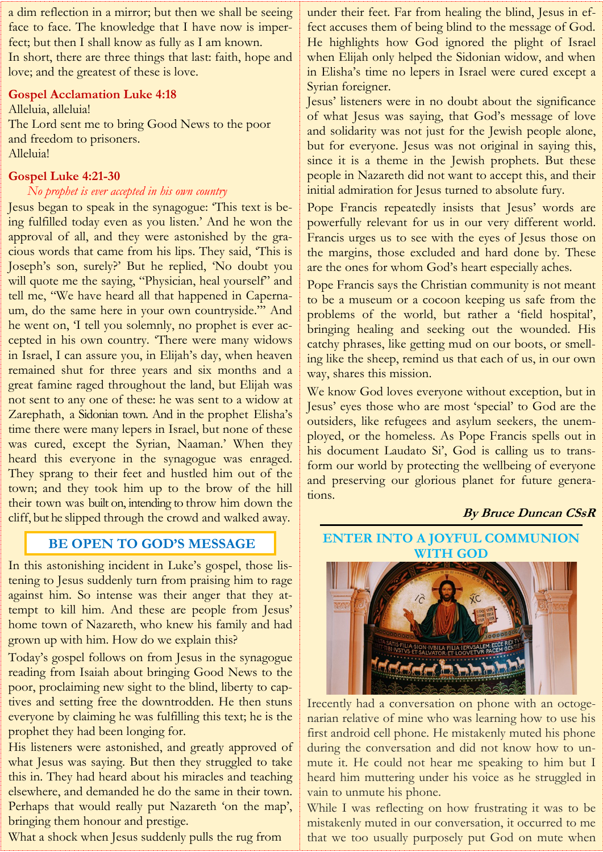a dim reflection in a mirror; but then we shall be seeing face to face. The knowledge that I have now is imperfect; but then I shall know as fully as I am known. In short, there are three things that last: faith, hope and love; and the greatest of these is love.

#### **Gospel Acclamation Luke 4:18**

Alleluia, alleluia! The Lord sent me to bring Good News to the poor and freedom to prisoners. Alleluia!

#### **Gospel Luke 4:21-30**

#### *No prophet is ever accepted in his own country*

Jesus began to speak in the synagogue: 'This text is being fulfilled today even as you listen.' And he won the approval of all, and they were astonished by the gracious words that came from his lips. They said, 'This is Joseph's son, surely?' But he replied, 'No doubt you will quote me the saying, "Physician, heal yourself" and tell me, "We have heard all that happened in Capernaum, do the same here in your own countryside."' And he went on, 'I tell you solemnly, no prophet is ever accepted in his own country. 'There were many widows in Israel, I can assure you, in Elijah's day, when heaven remained shut for three years and six months and a great famine raged throughout the land, but Elijah was not sent to any one of these: he was sent to a widow at Zarephath, a Sidonian town. And in the prophet Elisha's time there were many lepers in Israel, but none of these was cured, except the Syrian, Naaman.' When they heard this everyone in the synagogue was enraged. They sprang to their feet and hustled him out of the town; and they took him up to the brow of the hill their town was built on, intending to throw him down the cliff, but he slipped through the crowd and walked away.

#### **BE OPEN TO GOD'S MESSAGE**

In this astonishing incident in Luke's gospel, those listening to Jesus suddenly turn from praising him to rage against him. So intense was their anger that they attempt to kill him. And these are people from Jesus' home town of Nazareth, who knew his family and had grown up with him. How do we explain this?

Today's gospel follows on from Jesus in the synagogue reading from Isaiah about bringing Good News to the poor, proclaiming new sight to the blind, liberty to captives and setting free the downtrodden. He then stuns everyone by claiming he was fulfilling this text; he is the prophet they had been longing for.

His listeners were astonished, and greatly approved of what Jesus was saying. But then they struggled to take this in. They had heard about his miracles and teaching elsewhere, and demanded he do the same in their town. Perhaps that would really put Nazareth 'on the map', bringing them honour and prestige.

What a shock when Jesus suddenly pulls the rug from

under their feet. Far from healing the blind, Jesus in effect accuses them of being blind to the message of God. He highlights how God ignored the plight of Israel when Elijah only helped the Sidonian widow, and when in Elisha's time no lepers in Israel were cured except a Syrian foreigner.

Jesus' listeners were in no doubt about the significance of what Jesus was saying, that God's message of love and solidarity was not just for the Jewish people alone, but for everyone. Jesus was not original in saying this, since it is a theme in the Jewish prophets. But these people in Nazareth did not want to accept this, and their initial admiration for Jesus turned to absolute fury.

Pope Francis repeatedly insists that Jesus' words are powerfully relevant for us in our very different world. Francis urges us to see with the eyes of Jesus those on the margins, those excluded and hard done by. These are the ones for whom God's heart especially aches.

Pope Francis says the Christian community is not meant to be a museum or a cocoon keeping us safe from the problems of the world, but rather a 'field hospital', bringing healing and seeking out the wounded. His catchy phrases, like getting mud on our boots, or smelling like the sheep, remind us that each of us, in our own way, shares this mission.

We know God loves everyone without exception, but in Jesus' eyes those who are most 'special' to God are the outsiders, like refugees and asylum seekers, the unemployed, or the homeless. As Pope Francis spells out in his document Laudato Si', God is calling us to transform our world by protecting the wellbeing of everyone and preserving our glorious planet for future generations.

#### **By Bruce Duncan CSsR**

#### **ENTER INTO A JOYFUL COMMUNION WITH GOD**



Irecently had a conversation on phone with an octogenarian relative of mine who was learning how to use his first android cell phone. He mistakenly muted his phone during the conversation and did not know how to unmute it. He could not hear me speaking to him but I heard him muttering under his voice as he struggled in vain to unmute his phone.

While I was reflecting on how frustrating it was to be mistakenly muted in our conversation, it occurred to me that we too usually purposely put God on mute when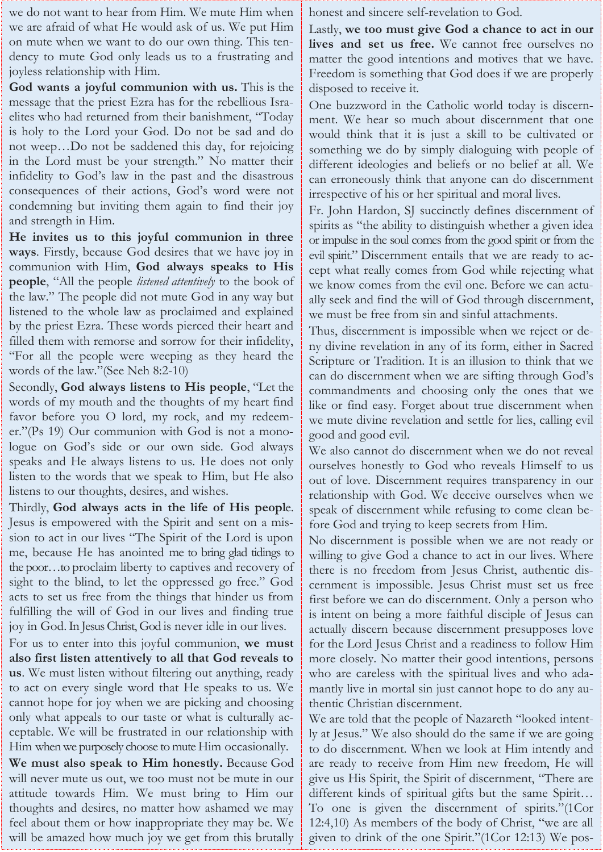we do not want to hear from Him. We mute Him when we are afraid of what He would ask of us. We put Him on mute when we want to do our own thing. This tendency to mute God only leads us to a frustrating and joyless relationship with Him.

**God wants a joyful communion with us.** This is the message that the priest Ezra has for the rebellious Israelites who had returned from their banishment, "Today is holy to the Lord your God. Do not be sad and do not weep…Do not be saddened this day, for rejoicing in the Lord must be your strength." No matter their infidelity to God's law in the past and the disastrous consequences of their actions, God's word were not condemning but inviting them again to find their joy and strength in Him.

**He invites us to this joyful communion in three ways**. Firstly, because God desires that we have joy in communion with Him, **God always speaks to His people**, "All the people *listened attentively* to the book of the law." The people did not mute God in any way but listened to the whole law as proclaimed and explained by the priest Ezra. These words pierced their heart and filled them with remorse and sorrow for their infidelity, "For all the people were weeping as they heard the words of the law."(See Neh 8:2-10)

Secondly, **God always listens to His people**, "Let the words of my mouth and the thoughts of my heart find favor before you O lord, my rock, and my redeemer."(Ps 19) Our communion with God is not a monologue on God's side or our own side. God always speaks and He always listens to us. He does not only listen to the words that we speak to Him, but He also listens to our thoughts, desires, and wishes.

Thirdly, **God always acts in the life of His peopl**e. Jesus is empowered with the Spirit and sent on a mission to act in our lives "The Spirit of the Lord is upon me, because He has anointed me to bring glad tidings to the poor…to proclaim liberty to captives and recovery of sight to the blind, to let the oppressed go free." God acts to set us free from the things that hinder us from fulfilling the will of God in our lives and finding true joy in God. In Jesus Christ, God is never idle in our lives.

For us to enter into this joyful communion, **we must also first listen attentively to all that God reveals to us**. We must listen without filtering out anything, ready to act on every single word that He speaks to us. We cannot hope for joy when we are picking and choosing only what appeals to our taste or what is culturally acceptable. We will be frustrated in our relationship with Him when we purposely choose to mute Him occasionally.

**We must also speak to Him honestly.** Because God will never mute us out, we too must not be mute in our attitude towards Him. We must bring to Him our thoughts and desires, no matter how ashamed we may feel about them or how inappropriate they may be. We will be amazed how much joy we get from this brutally

honest and sincere self-revelation to God.

Lastly, **we too must give God a chance to act in our lives and set us free.** We cannot free ourselves no matter the good intentions and motives that we have. Freedom is something that God does if we are properly disposed to receive it.

One buzzword in the Catholic world today is discernment. We hear so much about discernment that one would think that it is just a skill to be cultivated or something we do by simply dialoguing with people of different ideologies and beliefs or no belief at all. We can erroneously think that anyone can do discernment irrespective of his or her spiritual and moral lives.

Fr. John Hardon, SJ succinctly defines discernment of spirits as "the ability to distinguish whether a given idea or impulse in the soul comes from the good spirit or from the evil spirit." Discernment entails that we are ready to accept what really comes from God while rejecting what we know comes from the evil one. Before we can actually seek and find the will of God through discernment, we must be free from sin and sinful attachments.

Thus, discernment is impossible when we reject or deny divine revelation in any of its form, either in Sacred Scripture or Tradition. It is an illusion to think that we can do discernment when we are sifting through God's commandments and choosing only the ones that we like or find easy. Forget about true discernment when we mute divine revelation and settle for lies, calling evil good and good evil.

We also cannot do discernment when we do not reveal ourselves honestly to God who reveals Himself to us out of love. Discernment requires transparency in our relationship with God. We deceive ourselves when we speak of discernment while refusing to come clean before God and trying to keep secrets from Him.

No discernment is possible when we are not ready or willing to give God a chance to act in our lives. Where there is no freedom from Jesus Christ, authentic discernment is impossible. Jesus Christ must set us free first before we can do discernment. Only a person who is intent on being a more faithful disciple of Jesus can actually discern because discernment presupposes love for the Lord Jesus Christ and a readiness to follow Him more closely. No matter their good intentions, persons who are careless with the spiritual lives and who adamantly live in mortal sin just cannot hope to do any authentic Christian discernment.

We are told that the people of Nazareth "looked intently at Jesus." We also should do the same if we are going to do discernment. When we look at Him intently and are ready to receive from Him new freedom, He will give us His Spirit, the Spirit of discernment, "There are different kinds of spiritual gifts but the same Spirit… To one is given the discernment of spirits."(1Cor 12:4,10) As members of the body of Christ, "we are all given to drink of the one Spirit."(1Cor 12:13) We pos